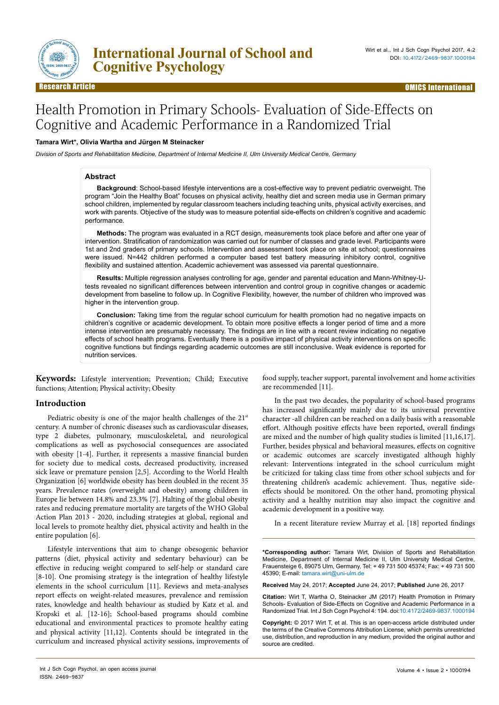

# Health Promotion in Primary Schools- Evaluation of Side-Effects on Cognitive and Academic Performance in a Randomized Trial

## **Tamara Wirt\*, Olivia Wartha and Jürgen M Steinacker**

*Division of Sports and Rehabilitation Medicine, Department of Internal Medicine II, Ulm University Medical Centre, Germany*

## **Abstract**

**Background**: School-based lifestyle interventions are a cost-effective way to prevent pediatric overweight. The program "Join the Healthy Boat" focuses on physical activity, healthy diet and screen media use in German primary school children, implemented by regular classroom teachers including teaching units, physical activity exercises, and work with parents. Objective of the study was to measure potential side-effects on children's cognitive and academic performance.

**Methods:** The program was evaluated in a RCT design, measurements took place before and after one year of intervention. Stratification of randomization was carried out for number of classes and grade level. Participants were 1st and 2nd graders of primary schools. Intervention and assessment took place on site at school; questionnaires were issued. N=442 children performed a computer based test battery measuring inhibitory control, cognitive flexibility and sustained attention. Academic achievement was assessed via parental questionnaire.

**Results:** Multiple regression analyses controlling for age, gender and parental education and Mann-Whitney-Utests revealed no significant differences between intervention and control group in cognitive changes or academic development from baseline to follow up. In Cognitive Flexibility, however, the number of children who improved was higher in the intervention group.

**Conclusion:** Taking time from the regular school curriculum for health promotion had no negative impacts on children's cognitive or academic development. To obtain more positive effects a longer period of time and a more intense intervention are presumably necessary. The findings are in line with a recent review indicating no negative effects of school health programs. Eventually there is a positive impact of physical activity interventions on specific cognitive functions but findings regarding academic outcomes are still inconclusive. Weak evidence is reported for nutrition services.

**Keywords:** Lifestyle intervention; Prevention; Child; Executive functions; Attention; Physical activity; Obesity

## **Introduction**

Pediatric obesity is one of the major health challenges of the 21<sup>st</sup> century. A number of chronic diseases such as cardiovascular diseases, type 2 diabetes, pulmonary, musculoskeletal, and neurological complications as well as psychosocial consequences are associated with obesity [1-4]. Further, it represents a massive financial burden for society due to medical costs, decreased productivity, increased sick leave or premature pension [2,5]. According to the World Health Organization [6] worldwide obesity has been doubled in the recent 35 years. Prevalence rates (overweight and obesity) among children in Europe lie between 14.8% and 23.3% [7]. Halting of the global obesity rates and reducing premature mortality are targets of the WHO Global Action Plan 2013 - 2020, including strategies at global, regional and local levels to promote healthy diet, physical activity and health in the entire population [6].

Lifestyle interventions that aim to change obesogenic behavior patterns (diet, physical activity and sedentary behaviour) can be effective in reducing weight compared to self-help or standard care [8-10]. One promising strategy is the integration of healthy lifestyle elements in the school curriculum [11]. Reviews and meta-analyses report effects on weight-related measures, prevalence and remission rates, knowledge and health behaviour as studied by Katz et al. and Kropski et al. [12-16]; School-based programs should combine educational and environmental practices to promote healthy eating and physical activity [11,12]. Contents should be integrated in the curriculum and increased physical activity sessions, improvements of

food supply, teacher support, parental involvement and home activities are recommended [11].

In the past two decades, the popularity of school-based programs has increased significantly mainly due to its universal preventive character -all children can be reached on a daily basis with a reasonable effort. Although positive effects have been reported, overall findings are mixed and the number of high quality studies is limited [11,16,17]. Further, besides physical and behavioral measures, effects on cognitive or academic outcomes are scarcely investigated although highly relevant: Interventions integrated in the school curriculum might be criticized for taking class time from other school subjects and for threatening children's academic achievement. Thus, negative sideeffects should be monitored. On the other hand, promoting physical activity and a healthy nutrition may also impact the cognitive and academic development in a positive way.

In a recent literature review Murray et al. [18] reported findings

**\*Corresponding author:** Tamara Wirt, Division of Sports and Rehabilitation Medicine, Department of Internal Medicine II, Ulm University Medical Centre, Frauensteige 6, 89075 Ulm, Germany, Tel: + 49 731 500 45374; Fax: + 49 731 500 45390; E-mail: tamara.wirt@uni-ulm.de

**Received** May 24, 2017; **Accepted** June 24, 2017; **Published** June 26, 2017

**Citation:** Wirt T, Wartha O, Steinacker JM (2017) Health Promotion in Primary Schools- Evaluation of Side-Effects on Cognitive and Academic Performance in a Randomized Trial. Int J Sch Cogn Psychol 4: 194. doi:10.4172/2469-9837.1000194

**Copyright:** © 2017 Wirt T, et al. This is an open-access article distributed under the terms of the Creative Commons Attribution License, which permits unrestricted use, distribution, and reproduction in any medium, provided the original author and source are credited.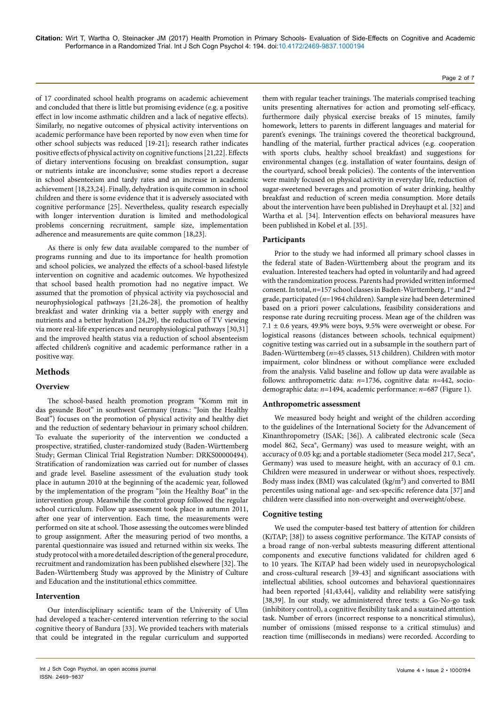of 17 coordinated school health programs on academic achievement and concluded that there is little but promising evidence (e.g. a positive effect in low income asthmatic children and a lack of negative effects). Similarly, no negative outcomes of physical activity interventions on academic performance have been reported by now even when time for other school subjects was reduced [19-21]; research rather indicates positive effects of physical activity on cognitive functions [21,22]. Effects of dietary interventions focusing on breakfast consumption, sugar or nutrients intake are inconclusive; some studies report a decrease in school absenteeism and tardy rates and an increase in academic achievement [18,23,24]. Finally, dehydration is quite common in school children and there is some evidence that it is adversely associated with cognitive performance [25]. Nevertheless, quality research especially with longer intervention duration is limited and methodological problems concerning recruitment, sample size, implementation adherence and measurements are quite common [18,23].

As there is only few data available compared to the number of programs running and due to its importance for health promotion and school policies, we analyzed the effects of a school-based lifestyle intervention on cognitive and academic outcomes. We hypothesized that school based health promotion had no negative impact. We assumed that the promotion of physical activity via psychosocial and neurophysiological pathways [21,26-28], the promotion of healthy breakfast and water drinking via a better supply with energy and nutrients and a better hydration [24,29], the reduction of TV viewing via more real-life experiences and neurophysiological pathways [30,31] and the improved health status via a reduction of school absenteeism affected children's cognitive and academic performance rather in a positive way.

# **Methods**

## **Overview**

The school-based health promotion program "Komm mit in das gesunde Boot" in southwest Germany (trans.: "Join the Healthy Boat") focuses on the promotion of physical activity and healthy diet and the reduction of sedentary behaviour in primary school children. To evaluate the superiority of the intervention we conducted a prospective, stratified, cluster-randomized study (Baden-Württemberg Study; German Clinical Trial Registration Number: DRKS00000494). Stratification of randomization was carried out for number of classes and grade level. Baseline assessment of the evaluation study took place in autumn 2010 at the beginning of the academic year, followed by the implementation of the program "Join the Healthy Boat" in the intervention group. Meanwhile the control group followed the regular school curriculum. Follow up assessment took place in autumn 2011, after one year of intervention. Each time, the measurements were performed on site at school. Those assessing the outcomes were blinded to group assignment. After the measuring period of two months, a parental questionnaire was issued and returned within six weeks. The study protocol with a more detailed description of the general procedure, recruitment and randomization has been published elsewhere [32]. The Baden-Württemberg Study was approved by the Ministry of Culture and Education and the institutional ethics committee.

## **Intervention**

Our interdisciplinary scientific team of the University of Ulm had developed a teacher-centered intervention referring to the social cognitive theory of Bandura [33]. We provided teachers with materials that could be integrated in the regular curriculum and supported

them with regular teacher trainings. The materials comprised teaching units presenting alternatives for action and promoting self-efficacy, furthermore daily physical exercise breaks of 15 minutes, family homework, letters to parents in different languages and material for parent's evenings. The trainings covered the theoretical background, handling of the material, further practical advices (e.g. cooperation with sports clubs, healthy school breakfast) and suggestions for environmental changes (e.g. installation of water fountains, design of the courtyard, school break policies). The contents of the intervention were mainly focused on physical activity in everyday life, reduction of sugar-sweetened beverages and promotion of water drinking, healthy breakfast and reduction of screen media consumption. More details about the intervention have been published in Dreyhaupt et al. [32] and Wartha et al. [34]. Intervention effects on behavioral measures have been published in Kobel et al. [35].

## **Participants**

Prior to the study we had informed all primary school classes in the federal state of Baden-Württemberg about the program and its evaluation. Interested teachers had opted in voluntarily and had agreed with the randomization process. Parents had provided written informed consent. In total,  $n=157$  school classes in Baden-Württemberg, 1<sup>st</sup> and 2<sup>nd</sup> grade, participated (*n*=1964 children). Sample size had been determined based on a priori power calculations, feasibility considerations and response rate during recruiting process. Mean age of the children was  $7.1 \pm 0.6$  years, 49.9% were boys, 9.5% were overweight or obese. For logistical reasons (distances between schools, technical equipment) cognitive testing was carried out in a subsample in the southern part of Baden-Württemberg (*n*=45 classes, 513 children). Children with motor impairment, color blindness or without compliance were excluded from the analysis. Valid baseline and follow up data were available as follows: anthropometric data: *n*=1736, cognitive data: *n*=442, sociodemographic data: *n*=1494, academic performance: *n*=687 (Figure 1).

## **Anthropometric assessment**

We measured body height and weight of the children according to the guidelines of the International Society for the Advancement of Kinanthropometry (ISAK; [36]). A calibrated electronic scale (Seca model 862, Seca®, Germany) was used to measure weight, with an accuracy of 0.05 kg; and a portable stadiometer (Seca model 217, Seca®, Germany) was used to measure height, with an accuracy of 0.1 cm. Children were measured in underwear or without shoes, respectively. Body mass index (BMI) was calculated (kg/m²) and converted to BMI percentiles using national age- and sex-specific reference data [37] and children were classified into non-overweight and overweight/obese.

## **Cognitive testing**

We used the computer-based test battery of attention for children (KiTAP; [38]) to assess cognitive performance. The KiTAP consists of a broad range of non-verbal subtests measuring different attentional components and executive functions validated for children aged 6 to 10 years. The KiTAP had been widely used in neuropsychological and cross-cultural research [39-43] and significant associations with intellectual abilities, school outcomes and behavioral questionnaires had been reported [41,43,44], validity and reliability were satisfying [38,39]. In our study, we administered three tests: a Go-No-go task (inhibitory control), a cognitive flexibility task and a sustained attention task. Number of errors (incorrect response to a noncritical stimulus), number of omissions (missed response to a critical stimulus) and reaction time (milliseconds in medians) were recorded. According to

#### Page 2 of 7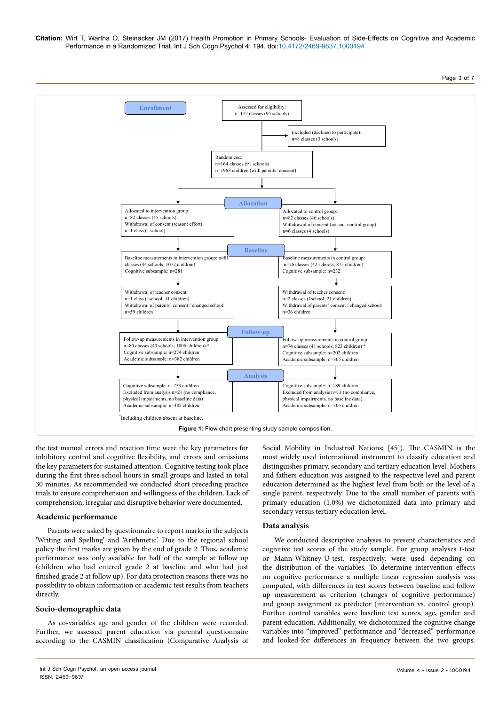**Citation:** Wirt T, Wartha O, Steinacker JM (2017) Health Promotion in Primary Schools- Evaluation of Side-Effects on Cognitive and Academic Performance in a Randomized Trial. Int J Sch Cogn Psychol 4: 194. doi:10.4172/2469-9837.1000194

Page 3 of 7



the test manual errors and reaction time were the key parameters for inhibitory control and cognitive flexibility, and errors and omissions the key parameters for sustained attention. Cognitive testing took place during the first three school hours in small groups and lasted in total 30 minutes. As recommended we conducted short preceding practice trials to ensure comprehension and willingness of the children. Lack of comprehension, irregular and disruptive behavior were documented.

## **Academic performance**

Parents were asked by questionnaire to report marks in the subjects 'Writing and Spelling' and 'Arithmetic'. Due to the regional school policy the first marks are given by the end of grade 2. Thus, academic performance was only available for half of the sample at follow up (children who had entered grade 2 at baseline and who had just finished grade 2 at follow up). For data protection reasons there was no possibility to obtain information or academic test results from teachers directly.

## **Socio-demographic data**

As co-variables age and gender of the children were recorded. Further, we assessed parent education via parental questionnaire according to the CASMIN classification (Comparative Analysis of Social Mobility in Industrial Nations; [45]). The CASMIN is the most widely used international instrument to classify education and distinguishes primary, secondary and tertiary education level. Mothers and fathers education was assigned to the respective level and parent education determined as the highest level from both or the level of a single parent, respectively. Due to the small number of parents with primary education (1.0%) we dichotomized data into primary and secondary versus tertiary education level.

## **Data analysis**

We conducted descriptive analyses to present characteristics and cognitive test scores of the study sample. For group analyses t-test or Mann-Whitney-U-test, respectively, were used depending on the distribution of the variables. To determine intervention effects on cognitive performance a multiple linear regression analysis was computed, with differences in test scores between baseline and follow up measurement as criterion (changes of cognitive performance) and group assignment as predictor (intervention vs. control group). Further control variables were baseline test scores, age, gender and parent education. Additionally, we dichotomized the cognitive change variables into "improved" performance and "decreased" performance and looked-for differences in frequency between the two groups.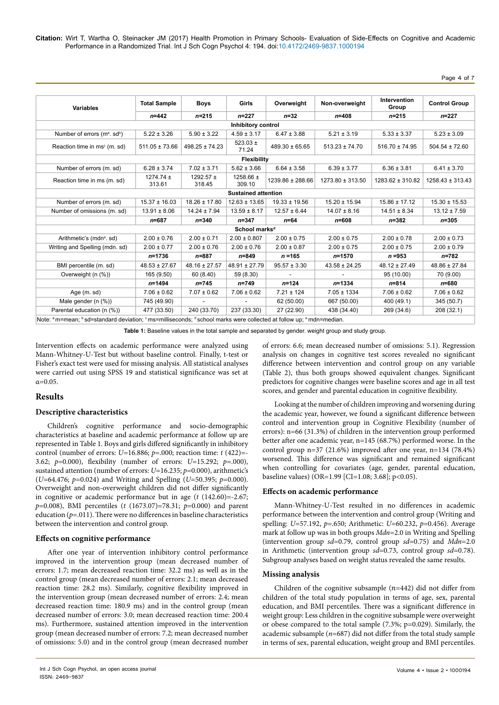Page 4 of 7

| <b>Variables</b>                                     | <b>Total Sample</b><br>$n = 442$ | <b>Boys</b><br>$n = 215$ | Girls<br>$n = 227$         | Overweight<br>$n=32$ | Non-overweight<br>$n = 408$ | Intervention<br>Group<br>$n = 215$ | <b>Control Group</b><br>$n = 227$ |
|------------------------------------------------------|----------------------------------|--------------------------|----------------------------|----------------------|-----------------------------|------------------------------------|-----------------------------------|
|                                                      |                                  |                          |                            |                      |                             |                                    |                                   |
| Number of errors (m <sup>a</sup> . sd <sup>b</sup> ) | $5.22 \pm 3.26$                  | $5.90 \pm 3.22$          | $4.59 \pm 3.17$            | $6.47 \pm 3.88$      | $5.21 \pm 3.19$             | $5.33 \pm 3.37$                    | $5.23 \pm 3.09$                   |
| Reaction time in ms <sup>c</sup> (m. sd)             | $511.05 \pm 73.66$               | $498.25 \pm 74.23$       | $523.03 \pm$<br>71.24      | $489.30 \pm 65.65$   | $513.23 \pm 74.70$          | $516.70 \pm 74.95$                 | $504.54 \pm 72.60$                |
|                                                      |                                  |                          | <b>Flexibility</b>         |                      |                             |                                    |                                   |
| Number of errors (m. sd)                             | $6.28 \pm 3.74$                  | $7.02 \pm 3.71$          | $5.62 \pm 3.66$            | $6.64 \pm 3.58$      | $6.39 \pm 3.77$             | $6.36 \pm 3.81$                    | $6.41 \pm 3.70$                   |
| Reaction time in ms (m. sd)                          | $1274.74 \pm$<br>313.61          | $1292.57 \pm$<br>318.45  | 1258.66 $\pm$<br>309.10    | 1239.86 ± 288.66     | 1273.80 ± 313.50            | 1283.62 ± 310.82                   | $1258.43 \pm 313.43$              |
|                                                      |                                  |                          | <b>Sustained attention</b> |                      |                             |                                    |                                   |
| Number of errors (m. sd)                             | $15.37 \pm 16.03$                | $18.26 \pm 17.80$        | $12.63 \pm 13.65$          | $19.33 \pm 19.56$    | $15.20 \pm 15.94$           | $15.86 \pm 17.12$                  | $15.30 \pm 15.53$                 |
| Number of omissions (m. sd)                          | $13.91 \pm 8.06$                 | $14.24 \pm 7.94$         | $13.59 \pm 8.17$           | $12.57 \pm 6.44$     | $14.07 \pm 8.16$            | $14.51 \pm 8.34$                   | $13.12 \pm 7.59$                  |
|                                                      | $n = 687$                        | $n = 340$                | $n = 347$                  | $n = 64$             | $n = 608$                   | $n = 382$                          | $n = 305$                         |
|                                                      |                                  |                          | School marks <sup>d</sup>  |                      |                             |                                    |                                   |
| Arithmetic's (mdn <sup>e</sup> . sd)                 | $2.00 \pm 0.76$                  | $2.00 \pm 0.71$          | $2.00 \pm 0.807$           | $2.00 \pm 0.75$      | $2.00 \pm 0.75$             | $2.00 \pm 0.78$                    | $2.00 \pm 0.73$                   |
| Writing and Spelling (mdn. sd)                       | $2.00 \pm 0.77$                  | $2.00 \pm 0.76$          | $2.00 \pm 0.76$            | $2.00 \pm 0.87$      | $2.00 \pm 0.75$             | $2.00 \pm 0.75$                    | $2.00 \pm 0.79$                   |
|                                                      | $n = 1736$                       | $n = 887$                | $n = 849$                  | $n = 165$            | $n = 1570$                  | $n = 953$                          | $n = 782$                         |
| BMI percentile (m. sd)                               | $48.53 \pm 27.67$                | $48.16 \pm 27.57$        | $48.91 \pm 27.79$          | $95.57 \pm 3.30$     | $43.58 \pm 24.25$           | $48.12 \pm 27.49$                  | $48.86 \pm 27.84$                 |
| Overweight (n (%))                                   | 165 (9.50)                       | 60 (8.40)                | 59 (8.30)                  |                      |                             | 95 (10.00)                         | 70 (9.00)                         |
|                                                      | $n = 1494$                       | $n = 745$                | $n = 749$                  | $n = 124$            | $n = 1334$                  | $n = 814$                          | $n = 680$                         |
| Age (m. sd)                                          | $7.06 \pm 0.62$                  | $7.07 \pm 0.62$          | $7.06 \pm 0.62$            | $7.21 \pm 124$       | $7.05 \pm 1334$             | $7.06 \pm 0.62$                    | $7.06 \pm 0.62$                   |
| Male gender (n (%))                                  | 745 (49.90)                      |                          |                            | 62 (50.00)           | 667 (50.00)                 | 400 (49.1)                         | 345 (50.7)                        |
| Parental education (n (%))                           | 477 (33.50)                      | 240 (33.70)              | 237 (33.30)                | 27 (22.90)           | 438 (34.40)                 | 269 (34.6)                         | 208 (32.1)                        |

**Table 1:** Baseline values in the total sample and separated by gender. weight group and study group.

Intervention effects on academic performance were analyzed using Mann-Whitney-U-Test but without baseline control. Finally, t-test or Fisher's exact test were used for missing analysis. All statistical analyses were carried out using SPSS 19 and statistical significance was set at  $α=0.05$ .

## **Results**

## **Descriptive characteristics**

Children's cognitive performance and socio-demographic characteristics at baseline and academic performance at follow up are represented in Table 1. Boys and girls differed significantly in inhibitory control (number of errors: *U=*16.886; *p*=.000; reaction time: *t* (422)=- 3.62; *p*=0.000), flexibility (number of errors: *U*=15.292; *p=*.000), sustained attention (number of errors: *U*=16.235; *p*=0.000), arithmetic's (*U*=64.476; *p*=0.024) and Writing and Spelling (*U*=50.395; *p*=0.000). Overweight and non-overweight children did not differ significantly in cognitive or academic performance but in age (*t* (142.60)=-2.67; *p*=0.008), BMI percentiles (*t* (1673.07)=78.31; *p*=0.000) and parent education (*p*=.011). There were no differences in baseline characteristics between the intervention and control group.

## **Effects on cognitive performance**

After one year of intervention inhibitory control performance improved in the intervention group (mean decreased number of errors: 1.7; mean decreased reaction time: 32.2 ms) as well as in the control group (mean decreased number of errors: 2.1; mean decreased reaction time: 28.2 ms). Similarly, cognitive flexibility improved in the intervention group (mean decreased number of errors: 2.4; mean decreased reaction time: 180.9 ms) and in the control group (mean decreased number of errors: 3.0; mean decreased reaction time: 200.4 ms). Furthermore, sustained attention improved in the intervention group (mean decreased number of errors: 7.2; mean decreased number of omissions: 5.0) and in the control group (mean decreased number

of errors: 6.6; mean decreased number of omissions: 5.1). Regression analysis on changes in cognitive test scores revealed no significant difference between intervention and control group on any variable (Table 2), thus both groups showed equivalent changes. Significant predictors for cognitive changes were baseline scores and age in all test scores, and gender and parental education in cognitive flexibility.

Looking at the number of children improving and worsening during the academic year, however, we found a significant difference between control and intervention group in Cognitive Flexibility (number of errors): n=66 (31.3%) of children in the intervention group performed better after one academic year, n=145 (68.7%) performed worse. In the control group n=37 (21.6%) improved after one year, n=134 (78.4%) worsened. This difference was significant and remained significant when controlling for covariates (age, gender, parental education, baseline values) (OR=1.99 [CI=1.08; 3.68]; p<0.05).

#### **Effects on academic performance**

Mann-Whitney-U-Test resulted in no differences in academic performance between the intervention and control group (Writing and spelling: *U*=57.192, *p*=.650; Arithmetic: *U*=60.232, *p*=0.456). Average mark at follow up was in both groups *Mdn*=2.0 in Writing and Spelling (intervention group *sd*=0.79, control group *sd*=0.75) and *Mdn*=2.0 in Arithmetic (intervention group *sd*=0.73, control group *sd*=0.78). Subgroup analyses based on weight status revealed the same results.

#### **Missing analysis**

Children of the cognitive subsample  $(n=442)$  did not differ from children of the total study population in terms of age, sex, parental education, and BMI percentiles. There was a significant difference in weight group: Less children in the cognitive subsample were overweight or obese compared to the total sample (7.3%; p=0.029). Similarly, the academic subsample (*n*=687) did not differ from the total study sample in terms of sex, parental education, weight group and BMI percentiles.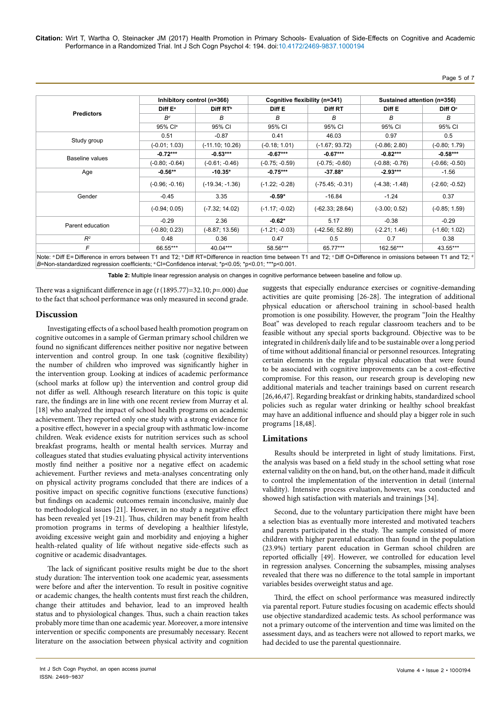**Citation:** Wirt T, Wartha O, Steinacker JM (2017) Health Promotion in Primary Schools- Evaluation of Side-Effects on Cognitive and Academic Performance in a Randomized Trial. Int J Sch Cogn Psychol 4: 194. doi:10.4172/2469-9837.1000194

Page 5 of 7

| <b>Predictors</b> |                     | Inhibitory control (n=366) |                  | Cognitive flexibility (n=341) | Sustained attention (n=356) |                     |
|-------------------|---------------------|----------------------------|------------------|-------------------------------|-----------------------------|---------------------|
|                   | Diff E <sup>a</sup> | Diff RT <sup>b</sup>       | Diff E           | Diff RT                       | Diff E                      | Diff O <sup>c</sup> |
|                   | $R^d$               | в                          | в                | В                             | в                           | В                   |
|                   | 95% Cl <sup>e</sup> | 95% CI                     | 95% CI           | 95% CI                        | 95% CI                      | 95% CI              |
| Study group       | 0.51                | $-0.87$                    | 0.41             | 46.03                         | 0.97                        | 0.5                 |
|                   | $(-0.01; 1.03)$     | $(-11.10; 10.26)$          | $(-0.18; 1.01)$  | $(-1.67; 93.72)$              | $(-0.86; 2.80)$             | $(-0.80; 1.79)$     |
| Baseline values   | $-0.72***$          | $-0.53***$                 | $-0.67***$       | $-0.67***$                    | $-0.82***$                  | $-0.58***$          |
|                   | $(-0.80; -0.64)$    | $(-0.61; -0.46)$           | $(-0.75; -0.59)$ | $(-0.75; -0.60)$              | $(-0.88; -0.76)$            | $(-0.66; -0.50)$    |
| Age               | $-0.56**$           | $-10.35*$                  | $-0.75***$       | $-37.88*$                     | $-2.93***$                  | $-1.56$             |
|                   | $(-0.96; -0.16)$    | $(-19.34; -1.36)$          | $(-1.22; -0.28)$ | $(-75.45; -0.31)$             | $(-4.38; -1.48)$            | $(-2.60; -0.52)$    |
| Gender            | $-0.45$             | 3.35                       | $-0.59*$         | $-16.84$                      | $-1.24$                     | 0.37                |
|                   | $(-0.94; 0.05)$     | $(-7.32; 14.02)$           | $(-1.17; -0.02)$ | $(-62.33; 28.64)$             | $(-3.00; 0.52)$             | $(-0.85; 1.59)$     |
| Parent education  | $-0.29$             | 2.36                       | $-0.62*$         | 5.17                          | $-0.38$                     | $-0.29$             |
|                   | $(-0.80; 0.23)$     | $(-8.87; 13.56)$           | $(-1.21; -0.03)$ | $(-42.56; 52.89)$             | $(-2.21; 1.46)$             | $(-1.60; 1.02)$     |
| $R^2$             | 0.48                | 0.36                       | 0.47             | 0.5                           | 0.7                         | 0.38                |
| F                 | 66.55***            | 40.04***                   | 58.56***         | 65.77***                      | 162.56***                   | 43.55***            |

**Table 2:** Multiple linear regression analysis on changes in cognitive performance between baseline and follow up.

There was a significant difference in age (*t* (1895.77)=32.10; *p*=.000) due to the fact that school performance was only measured in second grade.

## **Discussion**

Investigating effects of a school based health promotion program on cognitive outcomes in a sample of German primary school children we found no significant differences neither positive nor negative between intervention and control group. In one task (cognitive flexibility) the number of children who improved was significantly higher in the intervention group. Looking at indices of academic performance (school marks at follow up) the intervention and control group did not differ as well. Although research literature on this topic is quite rare, the findings are in line with one recent review from Murray et al. [18] who analyzed the impact of school health programs on academic achievement. They reported only one study with a strong evidence for a positive effect, however in a special group with asthmatic low-income children. Weak evidence exists for nutrition services such as school breakfast programs, health or mental health services. Murray and colleagues stated that studies evaluating physical activity interventions mostly find neither a positive nor a negative effect on academic achievement. Further reviews and meta-analyses concentrating only on physical activity programs concluded that there are indices of a positive impact on specific cognitive functions (executive functions) but findings on academic outcomes remain inconclusive, mainly due to methodological issues [21]. However, in no study a negative effect has been revealed yet [19-21]. Thus, children may benefit from health promotion programs in terms of developing a healthier lifestyle, avoiding excessive weight gain and morbidity and enjoying a higher health-related quality of life without negative side-effects such as cognitive or academic disadvantages.

The lack of significant positive results might be due to the short study duration: The intervention took one academic year, assessments were before and after the intervention. To result in positive cognitive or academic changes, the health contents must first reach the children, change their attitudes and behavior, lead to an improved health status and to physiological changes. Thus, such a chain reaction takes probably more time than one academic year. Moreover, a more intensive intervention or specific components are presumably necessary. Recent literature on the association between physical activity and cognition

suggests that especially endurance exercises or cognitive-demanding activities are quite promising [26-28]. The integration of additional physical education or afterschool training in school-based health promotion is one possibility. However, the program "Join the Healthy Boat" was developed to reach regular classroom teachers and to be feasible without any special sports background. Objective was to be integrated in children's daily life and to be sustainable over a long period of time without additional financial or personnel resources. Integrating certain elements in the regular physical education that were found to be associated with cognitive improvements can be a cost-effective compromise. For this reason, our research group is developing new additional materials and teacher trainings based on current research [26,46,47]. Regarding breakfast or drinking habits, standardized school policies such as regular water drinking or healthy school breakfast may have an additional influence and should play a bigger role in such programs [18,48].

## **Limitations**

Results should be interpreted in light of study limitations. First, the analysis was based on a field study in the school setting what rose external validity on the on hand, but, on the other hand, made it difficult to control the implementation of the intervention in detail (internal validity). Intensive process evaluation, however, was conducted and showed high satisfaction with materials and trainings [34].

Second, due to the voluntary participation there might have been a selection bias as eventually more interested and motivated teachers and parents participated in the study. The sample consisted of more children with higher parental education than found in the population (23.9%) tertiary parent education in German school children are reported officially [49]. However, we controlled for education level in regression analyses. Concerning the subsamples, missing analyses revealed that there was no difference to the total sample in important variables besides overweight status and age.

Third, the effect on school performance was measured indirectly via parental report. Future studies focusing on academic effects should use objective standardized academic tests. As school performance was not a primary outcome of the intervention and time was limited on the assessment days, and as teachers were not allowed to report marks, we had decided to use the parental questionnaire.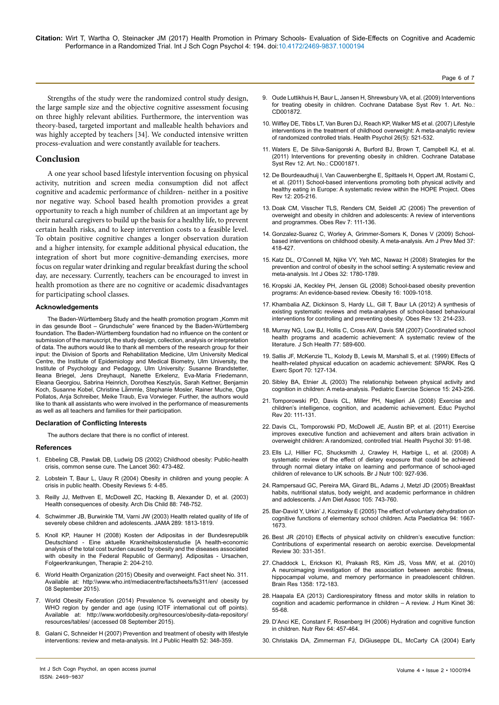Page 6 of 7

Strengths of the study were the randomized control study design, the large sample size and the objective cognitive assessment focusing on three highly relevant abilities. Furthermore, the intervention was theory-based, targeted important and malleable health behaviors and was highly accepted by teachers [34]. We conducted intensive written process-evaluation and were constantly available for teachers.

#### **Conclusion**

A one year school based lifestyle intervention focusing on physical activity, nutrition and screen media consumption did not affect cognitive and academic performance of children- neither in a positive nor negative way. School based health promotion provides a great opportunity to reach a high number of children at an important age by their natural caregivers to build up the basis for a healthy life, to prevent certain health risks, and to keep intervention costs to a feasible level. To obtain positive cognitive changes a longer observation duration and a higher intensity, for example additional physical education, the integration of short but more cognitive-demanding exercises, more focus on regular water drinking and regular breakfast during the school day, are necessary. Currently, teachers can be encouraged to invest in health promotion as there are no cognitive or academic disadvantages for participating school classes.

#### **Acknowledgements**

The Baden-Württemberg Study and the health promotion program "Komm mit in das gesunde Boot – Grundschule" were financed by the Baden-Württemberg foundation. The Baden-Württemberg foundation had no influence on the content or submission of the manuscript, the study design, collection, analysis or interpretation of data. The authors would like to thank all members of the research group for their input: the Division of Sports and Rehabilitation Medicine, Ulm University Medical Centre, the Institute of Epidemiology and Medical Biometry, Ulm University, the Institute of Psychology and Pedagogy, Ulm University: Susanne Brandstetter, Ileana Briegel, Jens Dreyhaupt, Nanette Erkelenz, Eva-Maria Friedemann, Eleana Georgiou, Sabrina Heinrich, Dorothea Kesztyüs, Sarah Kettner, Benjamin Koch, Susanne Kobel, Christine Lä̈mmle, Stephanie Mosler, Rainer Muche, Olga Pollatos, Anja Schreiber, Meike Traub, Eva Vorwieger. Further, the authors would like to thank all assistants who were involved in the performance of measurements as well as all teachers and families for their participation.

#### **Declaration of Conflicting Interests**

The authors declare that there is no conflict of interest.

#### **References**

- 1. [Ebbeling CB, Pawlak DB, Ludwig DS \(2002\) Childhood obesity: Public-health](http://dx.doi.org/10.1016/S0140-6736(02)09678-2) [crisis, common sense cure. The Lancet 360: 473-482.](http://dx.doi.org/10.1016/S0140-6736(02)09678-2)
- 2. [Lobstein T, Baur L, Uauy R \(2004\) Obesity in children and young people: A](https://doi.org/10.1111/j.1467-789X.2004.00133.x) [crisis in public health. Obesity Reviews 5: 4-85.](https://doi.org/10.1111/j.1467-789X.2004.00133.x)
- 3. [Reilly JJ, Methven E, McDowell ZC, Hacking B, Alexander D, et al. \(2003\)](http://dx.doi.org/10.1136/adc.88.9.748) [Health consequences of obesity. Arch Dis Child 88: 748-752.](http://dx.doi.org/10.1136/adc.88.9.748)
- 4. [Schwimmer JB, Burwinkle TM, Varni JW \(2003\) Health related quality of life of](https://doi.org/10.1001/jama.289.14.1813) [severely obese children and adolescents. JAMA 289: 1813-1819](https://doi.org/10.1001/jama.289.14.1813).
- 5. [Knoll KP, Hauner H \(2008\) Kosten der Adipositas in der Bundesrepublik](https://haemo.schattauer.de/en/contents/archive/issue/special/manuscript/10791.html) [Deutschland - Eine aktuelle Krankheitskostenstudie \[A health-economic](https://haemo.schattauer.de/en/contents/archive/issue/special/manuscript/10791.html) [analysis of the total cost burden caused by obesity and the diseases associated](https://haemo.schattauer.de/en/contents/archive/issue/special/manuscript/10791.html) [with obesity in the Federal Republic of Germany\]. Adipositas - Ursachen,](https://haemo.schattauer.de/en/contents/archive/issue/special/manuscript/10791.html) [Folgeerkrankungen, Therapie 2: 204-210.](https://haemo.schattauer.de/en/contents/archive/issue/special/manuscript/10791.html)
- 6. World Health Organization (2015) Obesity and overweight. Fact sheet No. 311. Available at: http:\\www.who.int/mediacentre/factsheets/fs311/en/ (accessed 08 September 2015).
- 7. World Obesity Federation (2014) Prevalence % overweight and obesity by WHO region by gender and age (using IOTF international cut off points). Available at: http://www.worldobesity.org/resources/obesity-data-repository/ resources/tables/ (accessed 08 September 2015).
- 8. [Galani C, Schneider H \(2007\) Prevention and treatment of obesity with lifestyle](http://dx.doi.org/10.1007/s00038-007-7015-8) [interventions: review and meta-analysis.](http://dx.doi.org/10.1007/s00038-007-7015-8) Int J Public Health 52: 348-359.
- 9. [Oude Luttikhuis H, Baur L, Jansen H, Shrewsbury VA, et al. \(2009\) Interventions](https://doi.org/10.1002/14651858.CD001872.pub2)  [for treating obesity in children. Cochrane Database Syst Rev 1. Art. No.:](https://doi.org/10.1002/14651858.CD001872.pub2)  [CD001872.](https://doi.org/10.1002/14651858.CD001872.pub2)
- 10. [Wilfley DE, Tibbs LT, Van Buren DJ, Reach KP, Walker MS et al. \(2007\) Lifestyle](https://doi.org/10.1037/0278-6133.26.5.521)  [interventions in the treatment of childhood overweight: A meta-analytic review](https://doi.org/10.1037/0278-6133.26.5.521)  [of randomized controlled trials. Health Psychol 26\(5\): 521-532](https://doi.org/10.1037/0278-6133.26.5.521).
- 11. [Waters E, De Silva-Sanigorski A, Burford BJ, Brown T, Campbell KJ, et al.](https://doi.org/10.1002/14651858.CD001871.pub3)  [\(2011\) Interventions for preventing obesity in children. Cochrane Database](https://doi.org/10.1002/14651858.CD001871.pub3)  [Syst Rev 12. Art. No.: CD001871.](https://doi.org/10.1002/14651858.CD001871.pub3)
- 12. [De Bourdeaudhuij I, Van Cauwenberghe E, Spittaels H, Oppert JM, Rostami C,](http://dx.doi.org/10.1111/j.1467-789X.2009.00711.x)  [et al. \(2011\) School-based interventions promoting both physical activity and](http://dx.doi.org/10.1111/j.1467-789X.2009.00711.x)  [healthy eating in Europe: A systematic review within the HOPE Project. Obes](http://dx.doi.org/10.1111/j.1467-789X.2009.00711.x)  [Rev 12: 205-216](http://dx.doi.org/10.1111/j.1467-789X.2009.00711.x).
- 13. [Doak CM, Visscher TLS, Renders CM, Seidell JC \(2006\) The prevention of](http://dx.doi.org/10.1111/j.1467-789X.2006.00234.x)  [overweight and obesity in children and adolescents: A review of interventions](http://dx.doi.org/10.1111/j.1467-789X.2006.00234.x)  [and programmes. Obes Rev 7: 111-136.](http://dx.doi.org/10.1111/j.1467-789X.2006.00234.x)
- 14. [Gonzalez-Suarez C, Worley A, Grimmer-Somers K, Dones V \(2009\) School](http://www.sciencedirect.com/science/article/pii/S074937970900525X)[based interventions on childhood obesity. A meta-analysis. Am J Prev Med 37:](http://www.sciencedirect.com/science/article/pii/S074937970900525X)  [418-427.](http://www.sciencedirect.com/science/article/pii/S074937970900525X)
- 15. [Katz DL, O'Connell M, Njike VY, Yeh MC, Nawaz H \(2008\) Strategies for the](http://dx.doi.org/10.1038/ijo.2008.158)  [prevention and control of obesity in the school setting: A systematic review and](http://dx.doi.org/10.1038/ijo.2008.158)  meta-analysis. [Int J Obes 32: 1780-1789.](http://dx.doi.org/10.1038/ijo.2008.158)
- 16. [Kropski JA, Keckley PH, Jensen GL \(2008\) School-based obesity prevention](https://doi.org/10.1038/oby.2008.29)  [programs: An evidence-based review. Obesity 16: 1009-1018.](https://doi.org/10.1038/oby.2008.29)
- 17. [Khambalia AZ, Dickinson S, Hardy LL, Gill T, Baur LA \(2012\) A synthesis of](https://doi.org/10.1111/j.1467-789X.2011.00947.x)  [existing systematic reviews and meta-analyses of school-based behavioural](https://doi.org/10.1111/j.1467-789X.2011.00947.x)  [interventions for controlling and preventing obesity. Obes Rev 13: 214-233](https://doi.org/10.1111/j.1467-789X.2011.00947.x).
- 18. [Murray NG, Low BJ, Hollis C, Cross AW, Davis SM \(2007\) Coordinated school](https://doi.org/10.1111/j.1746-1561.2007.00238.x)  [health programs and academic achievement: A systematic review of the](https://doi.org/10.1111/j.1746-1561.2007.00238.x)  [literature. J Sch Health 77: 589-600.](https://doi.org/10.1111/j.1746-1561.2007.00238.x)
- 19. [Sallis JF, McKenzie TL, Kolody B, Lewis M, Marshall S, et al. \(1999\) Effects of](https://doi.org/10.1080/02701367.1999.10608030)  [health-related physical education on academic achievement: SPARK. Res Q](https://doi.org/10.1080/02701367.1999.10608030)  [Exerc Sport 70: 127-134](https://doi.org/10.1080/02701367.1999.10608030).
- 20. [Sibley BA, Etnier JL \(2003\) The relationship between physical activity and](https://doi.org/10.1123/pes.15.3.243)  [cognition in children: A meta-analysis. Pediatric Exercise Science 15: 243-256.](https://doi.org/10.1123/pes.15.3.243)
- 21. [Tomporowski PD, Davis CL, Miller PH, Naglieri JA \(2008\) Exercise and](http://dx.doi.org/10.1007/s10648-007-9057-0)  [children's intelligence, cognition, and academic achievement. Educ Psychol](http://dx.doi.org/10.1007/s10648-007-9057-0)  [Rev 20: 111-131.](http://dx.doi.org/10.1007/s10648-007-9057-0)
- 22. [Davis CL, Tomporowski PD, McDowell JE, Austin BP, et al. \(2011\) Exercise](http://psycnet.apa.org/doi/10.1037/a0021766)  [improves executive function and achievement and alters brain activation in](http://psycnet.apa.org/doi/10.1037/a0021766)  [overweight children: A randomized, controlled trial. Health Psychol 30: 91-98.](http://psycnet.apa.org/doi/10.1037/a0021766)
- 23. [Ells LJ, Hillier FC, Shucksmith J, Crawley H, Harbige L, et al. \(2008\) A](https://doi.org/10.1017/S0007114508957998)  [systematic review of the effect of dietary exposure that could be achieved](https://doi.org/10.1017/S0007114508957998)  [through normal dietary intake on learning and performance of school-aged](https://doi.org/10.1017/S0007114508957998)  [children of relevance to UK schools. Br J Nutr 100: 927-936.](https://doi.org/10.1017/S0007114508957998)
- 24. [Rampersaud GC, Pereira MA, Girard BL, Adams J, Metzl JD \(2005\) Breakfast](https://doi.org/10.1016/j.jada.2005.02.007)  [habits, nutritional status, body weight, and academic performance in children](https://doi.org/10.1016/j.jada.2005.02.007)  [and adolescents. J Am Diet Assoc 105: 743-760](https://doi.org/10.1016/j.jada.2005.02.007).
- 25. [Bar-David Y, Urkin' J, Kozimsky E \(2005\) The effect of voluntary dehydration on](http://onlinelibrary.wiley.com/doi/10.1080/08035250500254670/full)  [cognitive functions of elementary school children. Acta Paediatrica 94: 1667-](http://onlinelibrary.wiley.com/doi/10.1080/08035250500254670/full) [1673.](http://onlinelibrary.wiley.com/doi/10.1080/08035250500254670/full)
- 26. [Best JR \(2010\) Effects of physical activity on children's executive function:](http://dx.doi.org/10.1016/j.dr.2010.08.001)  [Contributions of experimental research on aerobic exercise. Developmental](http://dx.doi.org/10.1016/j.dr.2010.08.001)  [Review 30: 331-351.](http://dx.doi.org/10.1016/j.dr.2010.08.001)
- 27. [Chaddock L, Erickson KI, Prakash RS, Kim JS, Voss MW, et al. \(2010\)](https://doi.org/10.1016/j.brainres.2010.08.049)  [A neuroimaging investigation of the association between aerobic fitness,](https://doi.org/10.1016/j.brainres.2010.08.049)  [hippocampal volume, and memory performance in preadolescent children.](https://doi.org/10.1016/j.brainres.2010.08.049) [Brain Res 1358: 172-183.](https://doi.org/10.1016/j.brainres.2010.08.049)
- 28. [Haapala EA \(2013\) Cardiorespiratory fitness and motor skills in relation to](https://doi.org/10.2478/hukin-2013-0006)  [cognition and academic performance in children – A review. J Hum Kinet 36:](https://doi.org/10.2478/hukin-2013-0006)  [55-68](https://doi.org/10.2478/hukin-2013-0006).
- 29. [D'Anci KE, Constant F, Rosenberg IH \(2006\) Hydration and cognitive function](https://doi.org/10.1111/j.1753-4887.2006.tb00176.x)  in children. Nutr Rev 64: 457-464
- 30. [Christakis DA, Zimmerman FJ, DiGiuseppe DL, McCarty CA \(2004\) Early](http://pediatrics.aappublications.org/content/113/4/708)